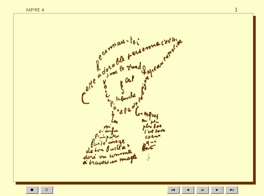

 $\bar{\mathbf{H}}$ 

 $\circ$ 

 $\mathbf{1}$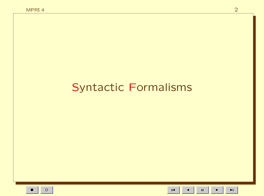# **Syntactic Formalisms**

 $\blacksquare$ 

 $\mathbf{H}^{\dagger}$ 

 $\blacktriangleright$ 

 $\blacktriangleright$  l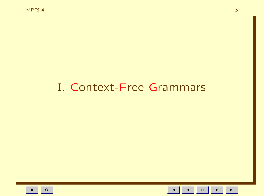# I. Context-Free Grammars

 $\blacksquare$  $\mathbf{H}^{\dagger}$   $\blacktriangleright$  l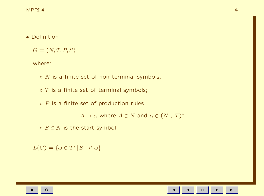• Definition

 $G = (N, T, P, S)$ 

where:

 $\circ$  *N* is a finite set of non-terminal symbols;

 $\circ$  T is a finite set of terminal symbols;

 $\circ$  P is a finite set of production rules

 $A \to \alpha$  where  $A \in N$  and  $\alpha \in (N \cup T)^*$ 

 $\circ$   $S \in N$  is the start symbol.

$$
L(G) = \{ \omega \in T^* \mid S \to^* \omega \}
$$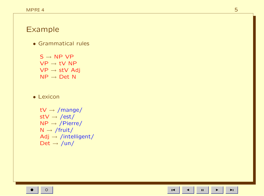## Example

• Grammatical rules

 $S \rightarrow NP VP$  $\mathsf{VP}\to \mathsf{t}\mathsf{V}$  NP  $\mathsf{VP}\to\mathsf{stV}$  Adj  $NP \rightarrow Det N$ 

• Lexicon

tV  $\rightarrow$  /mange/  $\mathsf{stV} \to \mathsf{/est/}$  $NP \rightarrow /Pierre/$  $N \rightarrow$  /fruit/  $Adj \rightarrow /intelligent/$ Det  $\rightarrow$  /un/

•

 $\blacksquare$ 

 $\overline{\phantom{a}}$ 

 $\blacksquare$ 

 $\mathbf{H}^{\dagger}$ 

 $\blacktriangleright$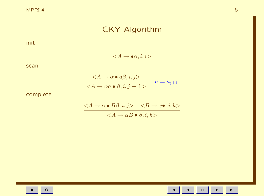# CKY Algorithm

init

 $\langle A \rightarrow \bullet \alpha, i, i \rangle$ 

scan

$$
\frac{}{} \qquad a = a\\_{j+1}
$$

complete

$$
\frac{\quad }{}
$$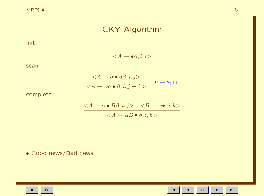# CKY Algorithm

init

 $\langle A \rightarrow \bullet \alpha, i, i \rangle$ 

scan

$$
\frac{}{} \qquad a = a\\_{j+1}
$$

complete

$$
\frac{\quad }{}
$$

• Good news/Bad news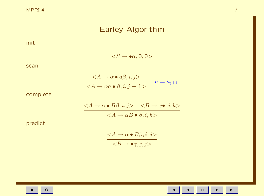# Earley Algorithm

init

 $\langle S \rightarrow \bullet \alpha, 0, 0 \rangle$ 

scan

$$
\frac{}{} \qquad a = a\\_{j+1}
$$

complete

$$
\frac{\quad }{}
$$

predict

$$
\frac{}{}
$$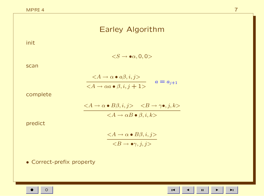# Earley Algorithm

init

 $\langle S \rightarrow \bullet \alpha, 0, 0 \rangle$ 

scan

$$
\frac{}{} \qquad a = a\\_{j+1}
$$

complete

$$
\frac{\quad }{}
$$

predict

 $\langle A \rightarrow \alpha \bullet B \beta, i, j \rangle$  $\langle B \rightarrow \bullet \gamma, j, j \rangle$ 

• Correct-prefix property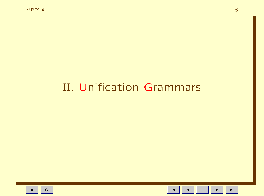# II. Unification Grammars

 $\blacksquare$ 

 $\mathbf{H}^{\dagger}$ 

 $\blacktriangleright$ 

 $\blacktriangleright$  l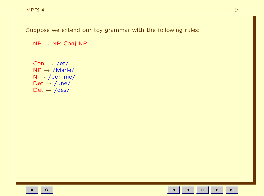$NP \rightarrow NP$  Conj NP

Conj  $\rightarrow$  /et/  $NP \rightarrow /Marie/$  $N \rightarrow /pomme/$ Det  $\rightarrow$  /une/ Det  $\rightarrow$  /des/

 $\mathbf{H}^{\dagger}$ 

 $\blacksquare$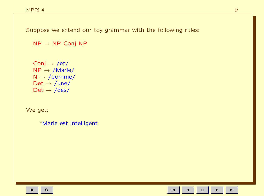$NP \rightarrow NP$  Conj NP

Conj  $\rightarrow$  /et/  $NP \rightarrow /Marie/$  $N \rightarrow /pomme/$ Det  $\rightarrow$  /une/ Det  $\rightarrow$  /des/

We get:

\*Marie est intelligent

 $\mathbf{H}$ 

 $\blacksquare$ 

 $\blacktriangleright$  l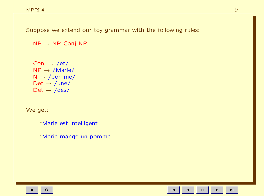$NP \rightarrow NP$  Conj NP

Conj  $\rightarrow$  /et/  $NP \rightarrow /Marie/$  $N \rightarrow /pomme/$ Det  $\rightarrow$  /une/ Det  $\rightarrow$  /des/

We get:

\*Marie est intelligent

\*Marie mange un pomme

 $\mathbf{H}$ 

 $\blacksquare$ 

 $\blacktriangleright$  l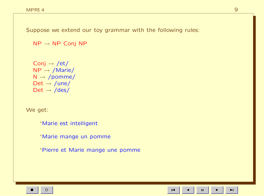$NP \rightarrow NP$  Conj NP

Conj  $\rightarrow$  /et/  $NP \rightarrow /Marie/$  $N \rightarrow /p$ omme/ Det  $\rightarrow$  /une/  $Det \rightarrow /des/$ 

We get:

<sup>∗</sup>Marie est intelligent

<sup>∗</sup>Marie mange un pomme

<sup>∗</sup>Pierre et Marie mange une pomme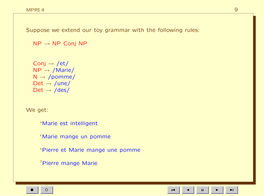$NP \rightarrow NP$  Conj NP

Conj  $\rightarrow$  /et/  $NP \rightarrow /Marie/$  $N \rightarrow /p$ omme/ Det  $\rightarrow$  /une/  $Det \rightarrow /des/$ 

We get:

<sup>∗</sup>Marie est intelligent

<sup>∗</sup>Marie mange un pomme

<sup>∗</sup>Pierre et Marie mange une pomme

?Pierre mange Marie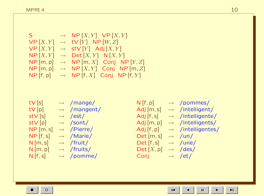$S \rightarrow NP[X, Y] VP[X, Y]$  $VP[X, Y] \rightarrow TV[Y] NP[W, Z]$  $VP[X, Y] \rightarrow stV[Y]$  Adj $[X, Y]$  $NP [X, Y] \rightarrow Det [X, Y] N [X, Y]$  $NP[m, p] \rightarrow NP[m, X]$  Conj  $NP[Y, Z]$  $NP[m, p] \rightarrow NP[X, Y]$  Conj  $NP[m, Z]$  $NP$  [f, p]  $\rightarrow NP$  [f, X] Conj NP [f, Y]

 $tV[s] \rightarrow /mange/$  $tV[p] \rightarrow \text{/mangent/}$  $\mathsf{stV}[\mathsf{s}] \longrightarrow / \mathsf{est}/$  $stV[p] \rightarrow /sont/$  $NP[m,s] \rightarrow$  /Pierre/  $NP [f, s] \rightarrow /Marie/$  $N [m, s] \rightarrow$  /fruit/  $N[m, p] \rightarrow /fruits/$  $N[f,s] \rightarrow$  /pomme/

 $N[f, p] \rightarrow$  /pommes/ Adj  $[m, s] \rightarrow$  /intelligent/ Adj  $[f,s] \rightarrow$  /intelligente/ Adj  $[m, p] \rightarrow$  /intelligents/ Adj  $[f, p] \rightarrow$  /intelligentes/  $Det[m, s] \rightarrow \text{/un/}$  $Det [f, s] \rightarrow$  /une/  $Det [X, p] \rightarrow /des/$ Conj  $\rightarrow$  /et/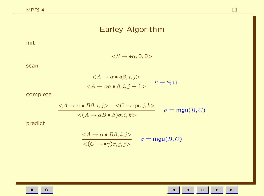# Earley Algorithm

init

 $\langle S \rightarrow \bullet \alpha, 0, 0 \rangle$ 

scan

$$
\frac{}{} \qquad a = a\\_{j+1}
$$

complete

$$
\frac{}{} \qquad \sigma = \text{mgu}\\(B, C\\)
$$

predict

$$
\frac{}{<\(C \to \bullet \gamma\)\sigma, j, j>} \quad \sigma = \text{mgu}\(B, C\)
$$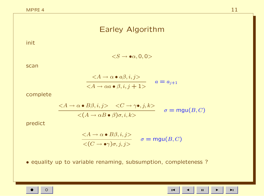## Earley Algorithm

init

 $\langle S \rightarrow \bullet \alpha, 0, 0 \rangle$ 

scan

$$
\frac{}{} \qquad a = a\\_{j+1}
$$

complete

$$
\frac{}{} \qquad \sigma = \text{mgu}\\(B, C\\)
$$

predict

$$
\frac{}{<\(C \to \bullet \gamma\)\sigma, j, j>} \quad \sigma = \text{mgu}\(B, C\)
$$

• equality up to variable renaming, subsumption, completeness ?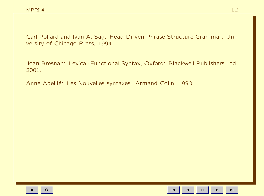Carl Pollard and Ivan A. Sag: Head-Driven Phrase Structure Grammar. University of Chicago Press, 1994.

Joan Bresnan: Lexical-Functional Syntax, Oxford: Blackwell Publishers Ltd, 2001.

Anne Abeillé: Les Nouvelles syntaxes. Armand Colin, 1993.

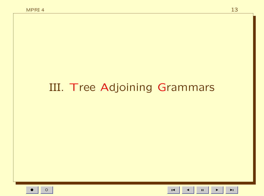# III. Tree Adjoining Grammars

13

 $\mathbf{H}^{\dagger}$ 

 $\blacksquare$ 

 $\blacktriangleright$ l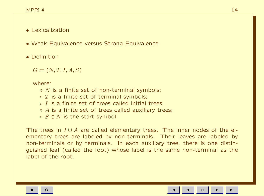#### • Lexicalization

- Weak Equivalence versus Strong Equivalence
- Definition

 $G = (N, T, I, A, S)$ 

where:

- $\circ$  N is a finite set of non-terminal symbols;
- $\circ$  T is a finite set of terminal symbols;
- $\circ$  *I* is a finite set of trees called initial trees:
- $\circ$  A is a finite set of trees called auxiliary trees;
- $\circ$   $S \in N$  is the start symbol.

The trees in  $I \cup A$  are called elementary trees. The inner nodes of the elementary trees are labeled by non-terminals. Their leaves are labeled by non-terminals or by terminals. In each auxiliary tree, there is one distinguished leaf (called the foot) whose label is the same non-terminal as the label of the root.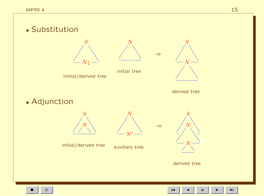

initial/derived tree



initial tree



derived tree

⇒

⇒

• Adjunction



initial/derived tree

Ĭ,  $\overline{\phantom{a}}$ Ĩ, ſ, ſ,  $\overline{ }$  $\overline{\phantom{a}}$  $\overline{\phantom{a}}$  $\overline{a}$  $\overline{\phantom{a}}$  $\overline{a}$  $\overline{a}$  $\overline{a}$  $\overline{a}$ N<sup>∗</sup>

N

auxiliary tree



derived tree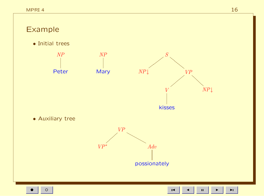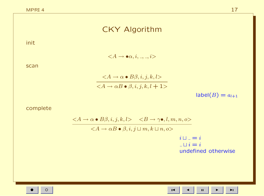# CKY Algorithm

init

 $\langle A \rightarrow \bullet \alpha, i, \_, \_, i \rangle$ 

scan

$$
\frac{}{}
$$

 $label(B) = a_{l+1}$ 

complete

$$
\frac{\quad } {} \qquad i \sqcup\\_{-} = i
$$
\n
$$
\frac{}{i \sqcup_{-}} = i
$$
\nundefined otherwise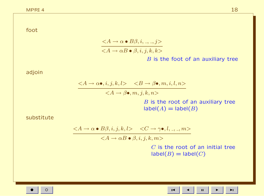foot

$$
\frac{}{} \qquad \qquad B \text{ is the fact of}
$$

 $B$  is the foot of an auxiliary tree

adjoin

 $\langle A \rightarrow \alpha \bullet, i, j, k, l \rangle \langle B \rightarrow \beta \bullet, m, i, l, n \rangle$  $\langle A \rightarrow \beta \bullet, m, j, k, n \rangle$  $B$  is the root of an auxiliary tree  $label(A) = label(B)$ 

substitute

$$
\langle A \to \alpha \bullet B\beta, i, j, k, l \rangle \quad \langle C \to \gamma \bullet, l, \_, \_, m \rangle
$$

 $\langle A \rightarrow \alpha B \bullet \beta, i, j, k, m \rangle$ 

 $C$  is the root of an initial tree  $label(B) = label(C)$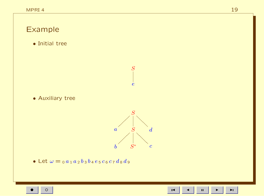

 $\mathbf{H}$ 

 $\blacktriangleright$ l

 $\blacksquare$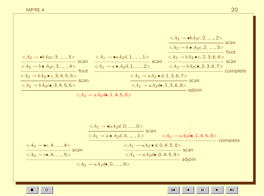$$
\frac{\langle A_2 \rightarrow \bullet bA_3c, 3, \dots, 3 \rangle}{\langle A_2 \rightarrow \bullet A_3c, 3, \dots, 3 \rangle} \text{scan} \xrightarrow{\langle A_1 \rightarrow \bullet aA_2d, 1, \dots, 1 \rangle} \text{scan} \xrightarrow{\langle A_2 \rightarrow b \bullet A_3c, 2, \dots, 3 \rangle} \text{scan} \xrightarrow{\langle A_2 \rightarrow b \bullet A_3c, 2, \dots, 3 \rangle} \text{scan} \xrightarrow{\langle A_2 \rightarrow b \bullet A_3c, 2, \dots, 3 \rangle} \text{scan} \xrightarrow{\langle A_2 \rightarrow bA_3 \bullet c, 2, 3, 6, 6 \rangle} \text{scan} \xrightarrow{\langle A_1 \rightarrow a \bullet A_2d, 1, \dots, 2 \rangle} \text{scan} \xrightarrow{\langle A_1 \rightarrow aA_2 \bullet d, 1, 3, 6, 7 \rangle} \text{scan} \xrightarrow{\langle A_2 \rightarrow bA_3c, 2, 3, 6, 7 \rangle} \text{complete} \xrightarrow{\langle A_2 \rightarrow bA_3c, 3, 4, 5, 6 \rangle} \text{scan} \xrightarrow{\langle A_1 \rightarrow aA_2d, 1, 3, 6, 7 \rangle} \text{scale} \xrightarrow{\langle A_1 \rightarrow aA_2d, 1, 3, 6, 7 \rangle} \text{scale} \xrightarrow{\langle A_1 \rightarrow aA_2d, 1, 3, 6, 8 \rangle} \text{scale} \xrightarrow{\langle A_1 \rightarrow aA_2d, 0, \dots, 0 \rangle} \text{scan} \xrightarrow{\langle A_1 \rightarrow aA_2d, 0, \dots, 1 \rangle} \text{scan} \xrightarrow{\langle A_1 \rightarrow aA_2d, 0, \dots, 1 \rangle} \text{scan} \xrightarrow{\langle A_1 \rightarrow aA_2d, 0, 4, 5, 8 \rangle} \text{complete} \xrightarrow{\langle A_1 \rightarrow aA_2d, 0, 4, 5, 8 \rangle} \text{scan} \xrightarrow{\langle A_1 \rightarrow aA_2d, 0, 4, 5, 8 \rangle} \text{scan} \xrightarrow{\langle A_1 \rightarrow aA_2d, 0, 4, 5, 8 \rangle} \text{scale} \xrightarrow{\langle A_1 \rightarrow aA_2d, 0, 4, 5, 8 \rangle} \text{scale} \xrightarrow{\langle A_1 \rightarrow a
$$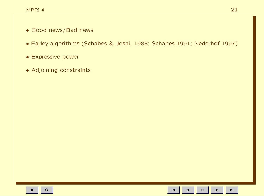- Good news/Bad news
- Earley algorithms (Schabes & Joshi, 1988; Schabes 1991; Nederhof 1997)
- Expressive power
- Adjoining constraints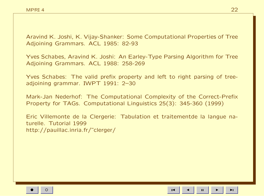Aravind K. Joshi, K. Vijay-Shanker: Some Computational Properties of Tree Adjoining Grammars. ACL 1985: 82-93

Yves Schabes, Aravind K. Joshi: An Earley-Type Parsing Algorithm for Tree Adjoining Grammars. ACL 1988: 258-269

Yves Schabes: The valid prefix property and left to right parsing of treeadjoining grammar. IWPT 1991: 2–30

Mark-Jan Nederhof: The Computational Complexity of the Correct-Prefix Property for TAGs. Computational Linguistics 25(3): 345-360 (1999)

Eric Villemonte de la Clergerie: Tabulation et traitementde la langue naturelle. Tutorial 1999 http://pauillac.inria.fr/˜clerger/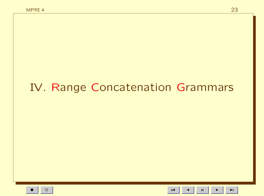# IV. Range Concatenation Grammars

23

 $\mathbf{H}$  $\blacksquare$ 

 $\blacktriangleright$ l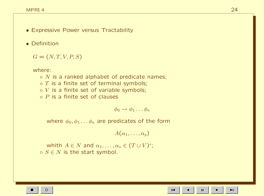- Expressive Power versus Tractability
- Definition

 $G = (N, T, V, P, S)$ 

where:

 $\circ$  N is a ranked alphabet of predicate names;  $\circ$  T is a finite set of terminal symbols;  $\circ$  V is a finite set of variable symbols;  $\circ$  P is a finite set of clauses

$$
\phi_0 \to \phi_1 \dots \phi_n
$$

where  $\phi_0, \phi_1 \ldots \phi_n$  are predicates of the form

 $A(\alpha_1, \ldots, \alpha_p)$ 

whith  $A\in N$  and  $\alpha_1,\ldots,\alpha_n\in (T\cup V)^*;$  $\circ$   $S \in N$  is the start symbol.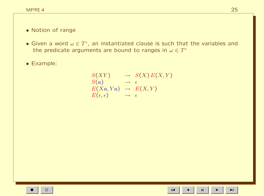#### • Notion of range

• Given a word  $\omega \in T^*$ , an instantiated clause is such that the variables and the predicate arguments are bound to ranges in  $\omega \in T^*$ 

• Example:

$$
S(XY) \rightarrow S(X) E(X,Y) \nS(a) \rightarrow \epsilon \nE(Xa, Ya) \rightarrow E(X,Y) \nE(\epsilon, \epsilon) \rightarrow \epsilon
$$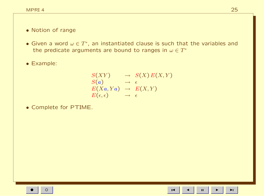#### • Notion of range

• Given a word  $\omega \in T^*$ , an instantiated clause is such that the variables and the predicate arguments are bound to ranges in  $\omega \in T^*$ 

• Example:

$$
S(XY) \rightarrow S(X) E(X,Y) \nS(a) \rightarrow \epsilon \nE(Xa, Ya) \rightarrow E(X,Y) \nE(\epsilon, \epsilon) \rightarrow \epsilon
$$

• Complete for PTIME.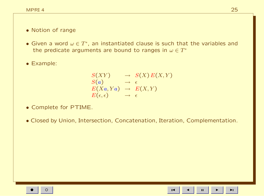#### • Notion of range

• Given a word  $\omega \in T^*$ , an instantiated clause is such that the variables and the predicate arguments are bound to ranges in  $\omega \in T^*$ 

• Example:

$$
S(XY) \rightarrow S(X) E(X,Y) \nS(a) \rightarrow \epsilon \nE(Xa, Ya) \rightarrow E(X,Y) \nE(\epsilon, \epsilon) \rightarrow \epsilon
$$

- Complete for PTIME.
- Closed by Union, Intersection, Concatenation, Iteration, Complementation.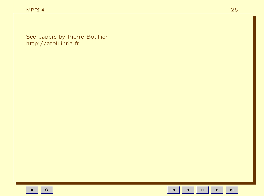See papers by Pierre Boullier http://atoll.inria.fr

26

 $\blacksquare$ 

 $\blacktriangleleft$ 

 $\mathbf{u}$ 

 $\blacktriangleright$ 

 $\blacktriangleright$  l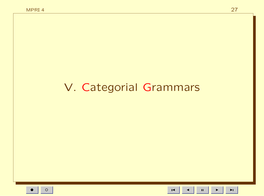# V. Categorial Grammars

 $\mathbf{H}^{\dagger}$  $\blacktriangleright$ 

 $\blacksquare$ 

 $\blacktriangleright$  l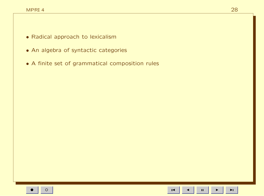- Radical approach to lexicalism
- An algebra of syntactic categories
- A finite set of grammatical composition rules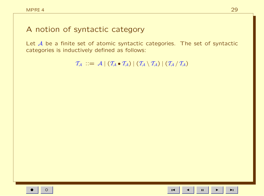### A notion of syntactic category

Let  $A$  be a finite set of atomic syntactic categories. The set of syntactic categories is inductively defined as follows:

 $\mathcal{T}_{\mathcal{A}} \, := \, \mathcal{A} \, | \, (\mathcal{T}_{\mathcal{A}} \bullet \mathcal{T}_{\mathcal{A}}) \, | \, (\mathcal{T}_{\mathcal{A}} \setminus \mathcal{T}_{\mathcal{A}}) \, | \, (\mathcal{T}_{\mathcal{A}} \setminus \mathcal{T}_{\mathcal{A}})$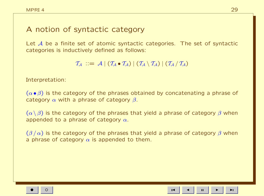### A notion of syntactic category

Let A be a finite set of atomic syntactic categories. The set of syntactic categories is inductively defined as follows:

 $\mathcal{T}_A$  ::=  $\mathcal{A}$  |  $(\mathcal{T}_A \bullet \mathcal{T}_A)$  |  $(\mathcal{T}_A \setminus \mathcal{T}_A)$  |  $(\mathcal{T}_A / \mathcal{T}_A)$ 

Interpretation:

 $(\alpha \bullet \beta)$  is the category of the phrases obtained by concatenating a phrase of category  $\alpha$  with a phrase of category  $\beta$ .

 $(\alpha \setminus \beta)$  is the category of the phrases that yield a phrase of category  $\beta$  when appended to a phrase of category  $\alpha$ .

 $(\beta/\alpha)$  is the category of the phrases that yield a phrase of category  $\beta$  when a phrase of category  $\alpha$  is appended to them.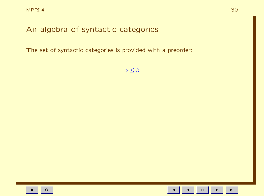An algebra of syntactic categories

The set of syntactic categories is provided with a preorder:

 $\alpha \leq \beta$ 

 $\blacksquare$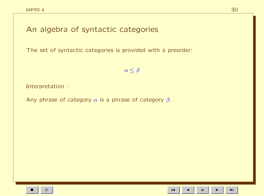## An algebra of syntactic categories

The set of syntactic categories is provided with a preorder:

 $\alpha \leq \beta$ 

Interpretation :

Any phrase of category  $\alpha$  is a phrase of category  $\beta$ .

 $\mathbf H$  $\overline{1}$ 

 $\blacktriangleright$ l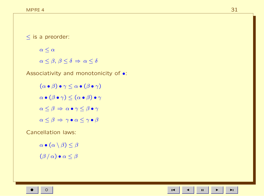≤ is a preorder:

 $\alpha \leq \alpha$ 

 $\alpha \leq \beta, \beta \leq \delta \Rightarrow \alpha \leq \delta$ 

Associativity and monotonicity of •:

 $(\alpha \bullet \beta) \bullet \gamma \leq \alpha \bullet (\beta \bullet \gamma)$  $\alpha \bullet (\beta \bullet \gamma) \leq (\alpha \bullet \beta) \bullet \gamma$  $\alpha \leq \beta \Rightarrow \alpha \bullet \gamma \leq \beta \bullet \gamma$  $\alpha \leq \beta \Rightarrow \gamma \bullet \alpha \leq \gamma \bullet \beta$ 

Cancellation laws:

 $\alpha \bullet (\alpha \setminus \beta) \leq \beta$  $(\beta/\alpha) \bullet \alpha \leq \beta$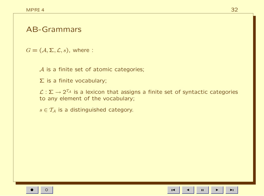### AB-Grammars

 $G = (\mathcal{A}, \Sigma, \mathcal{L}, s)$ , where :

A is a finite set of atomic categories;

Σ is a finite vocabulary;

 $\mathcal{L}:\mathsf{\Sigma}\to 2^{\mathcal{T}_\mathcal{A}}$  is a lexicon that assigns a finite set of syntactic categories to any element of the vocabulary;

 $s \in \mathcal{T}_A$  is a distinguished category.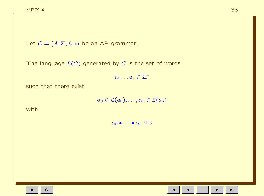Let  $G = \langle A, \Sigma, \mathcal{L}, s \rangle$  be an AB-grammar.

The language  $L(G)$  generated by G is the set of words

 $a_0 \ldots a_n \in \Sigma^*$ 

such that there exist

 $\alpha_0 \in \mathcal{L}(a_0), \ldots, \alpha_n \in \mathcal{L}(a_n)$ 

with

 $\alpha_0 \bullet \cdots \bullet \alpha_n \leq s$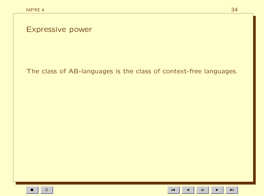Expressive power

The class of AB-languages is the class of context-free languages.

 $\mathbf{H}$ 

 $\blacksquare$ 

 $\blacktriangleright$ l

34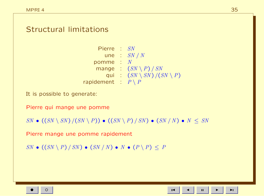### Structural limitations

Pierre : SN une :  $SN / N$ pomme :  $N$ mange :  $(SN \setminus P) / SN$ qui :  $(SN \setminus SN) / (SN \setminus P)$ rapidement :  $P \setminus P$ 

It is possible to generate:

Pierre qui mange une pomme

 $SN \bullet ((SN \setminus SN) / (SN \setminus P)) \bullet ((SN \setminus P) / SN) \bullet (SN / N) \bullet N \leq SN$ 

Pierre mange une pomme rapidement

 $SN \bullet ((SN \setminus P) / SN) \bullet (SN / N) \bullet N \bullet (P \setminus P) \leq P$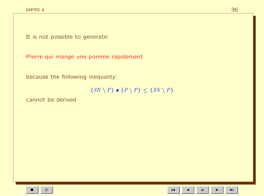It is not possible to generate:

Pierre qui mange une pomme rapidement

because the following inequality:

 $(SN \setminus P) \bullet (P \setminus P) \le (SN \setminus P)$ 

cannot be derived

 $\mathbf{H}^{\dagger}$ 

 $\blacktriangleright$  l

 $\blacksquare$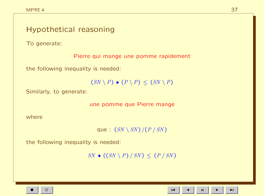# Hypothetical reasoning To generate: Pierre qui mange une pomme rapidement the following inequality is needed:  $(SN \setminus P) \bullet (P \setminus P) \leq (SN \setminus P)$ Similarly, to generate: une pomme que Pierre mange where

que :  $(SN \setminus SN) / (P / SN)$ 

the following inequality is needed:

 $SN \bullet ((SN \setminus P) / SN) \le (P / SN)$ 

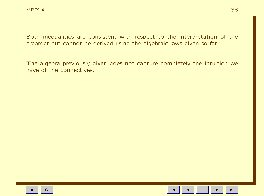Both inequalities are consistent with respect to the interpretation of the preorder but cannot be derived using the algebraic laws given so far.

The algebra previously given does not capture completely the intuition we have of the connectives

 $\mathbf{H}$ 

 $\blacktriangleright$ l

 $\blacksquare$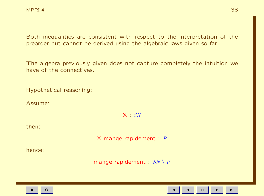Both inequalities are consistent with respect to the interpretation of the preorder but cannot be derived using the algebraic laws given so far.

The algebra previously given does not capture completely the intuition we have of the connectives

Hypothetical reasoning:

Assume:

 $X : SN$ 

then:

X mange rapidement :  $P$ 

hence<sup>.</sup>

mange rapidement :  $SN \setminus P$ 

 $\mathbf H$  $\blacktriangleright$ l

 $\overline{1}$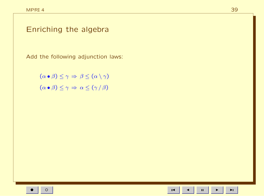### Enriching the algebra

Add the following adjunction laws:

 $(\alpha \bullet \beta) \leq \gamma \Rightarrow \beta \leq (\alpha \setminus \gamma)$  $(\alpha \bullet \beta) \leq \gamma \Rightarrow \alpha \leq (\gamma / \beta)$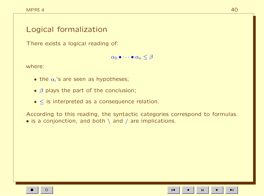### Logical formalization

There exists a logical reading of:

 $\alpha_0 \bullet \cdots \bullet \alpha_n \leq \beta$ 

where:

- the  $\alpha_i$ 's are seen as hypotheses;
- $\beta$  plays the part of the conclusion;
- $\bullet$  < is interpreted as a consequence relation.

According to this reading, the syntactic categories correspond to formulas. • is a conjonction, and both \ and / are implications.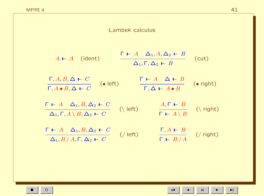| $\left( \bullet \text{ right} \right)$ |
|----------------------------------------|
| $(\n\$ right)                          |
| $\frac{1}{2}$ (/ right)                |
|                                        |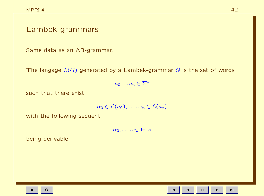### Lambek grammars

Same data as an AB-grammar.

The langage  $L(G)$  generated by a Lambek-grammar  $G$  is the set of words

 $a_0 \ldots a_n \in \Sigma^*$ 

such that there exist

$$
\alpha_0 \in {\cal L}(a_0), \ldots, \alpha_n \in {\cal L}(a_n)
$$

with the following sequent

 $\alpha_0, \ldots, \alpha_n \vdash s$ 

being derivable.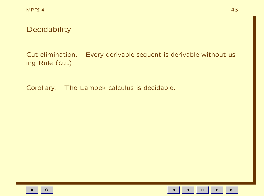| Decidability    |                                                                   |
|-----------------|-------------------------------------------------------------------|
| ing Rule (cut). | Cut elimination. Every derivable sequent is derivable without us- |
| Covolution      | The Lambels calculus is desidable                                 |

Corollary. The Lambek calculus is decidable.

 $\mathbf{u}$  $\blacktriangleright$ 

 $\blacksquare$ 

 $\blacktriangleleft$ 

 $\blacktriangleright$ l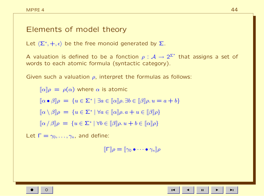### Elements of model theory

Let  $\langle \Sigma^*, +, \epsilon \rangle$  be the free monoid generated by  $\Sigma$ .

A valuation is defined to be a fonction  $\rho : \mathcal{A} \to 2^{\Sigma^*}$  that assigns a set of words to each atomic formula (syntactic category).

Given such a valuation  $\rho$ , interpret the formulas as follows:

 $\lbrack \lbrack \alpha \rbrack \rbrack \rho = \rho(\alpha)$  where  $\alpha$  is atomic  $[\![\alpha \bullet \beta]\!] \rho = \{ u \in \Sigma^* \mid \exists a \in [\![\alpha]\!] \rho \ldotp \exists b \in [\![\beta]\!] \rho \ldotp u = a + b \}$  $[\![\alpha \setminus \beta]\!] \rho = \{ u \in \Sigma^* \mid \forall a \in [\![\alpha]\!] \rho. \, a + u \in [\![\beta]\!] \rho \}$  $[\![\alpha/\beta]\!] \rho = \{ u \in \Sigma^* \mid \forall b \in [\![\beta]\!] \rho. u + b \in [\![\alpha]\!] \rho \}$ 

Let  $\Gamma = \gamma_0, \ldots, \gamma_n$ , and define:

$$
[\![\mathsf{\Gamma}]\!] \rho = [\![\gamma_0 \bullet \cdots \bullet \gamma_n]\!] \rho
$$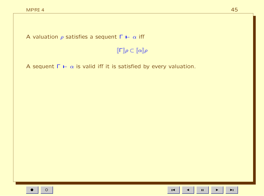A valuation  $\rho$  satisfies a sequent  $\Gamma \vdash \alpha$  iff

 $\llbracket \mathsf{\Gamma} \rrbracket \rho \subset \llbracket \alpha \rrbracket \rho$ 

A sequent  $\Gamma \vdash \alpha$  is valid iff it is satisfied by every valuation.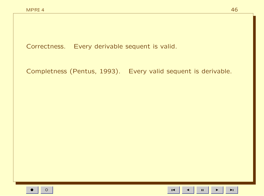Correctness. Every derivable sequent is valid.

Completness (Pentus, 1993). Every valid sequent is derivable.

 $\blacktriangleright$  l

 $\mathbf{H}$ 

 $\blacksquare$ 

46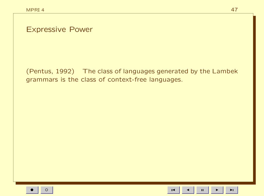**Expressive Power** 

(Pentus, 1992) The class of languages generated by the Lambek grammars is the class of context-free languages.

 $\mathbf{H}$ 

 $\overline{1}$ 

 $\blacktriangleright$  l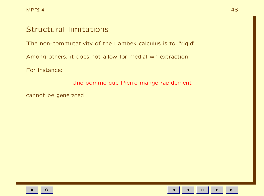## **Structural limitations**

The non-commutativity of the Lambek calculus is to "rigid".

Among others, it does not allow for medial wh-extraction.

For instance:

Une pomme que Pierre mange rapidement

cannot be generated.

 $\mathbf H$ 

 $\blacktriangleright$ l

 $\blacksquare$